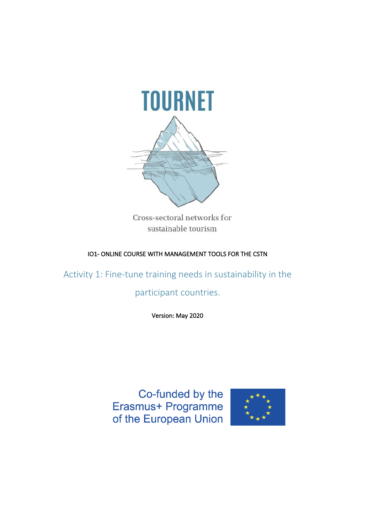

Cross-sectoral networks for sustainable tourism

### IO1- ONLINE COURSE WITH MANAGEMENT TOOLS FOR THE CSTN

Activity 1: Fine-tune training needs in sustainability in the

# participant countries.

Version: May 2020

Co-funded by the Erasmus+ Programme of the European Union

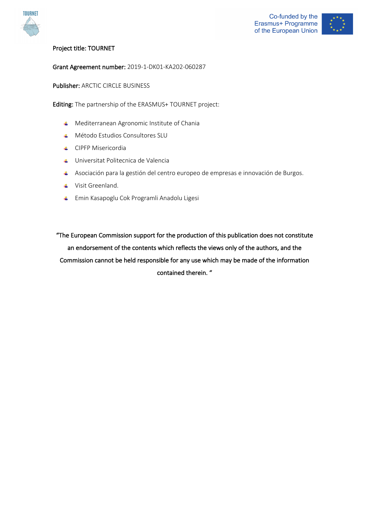



### Project title: TOURNET

#### Grant Agreement number: 2019-1-DK01-KA202-060287

Publisher: ARCTIC CIRCLE BUSINESS

Editing: The partnership of the ERASMUS+ TOURNET project:

- **4** Mediterranean Agronomic Institute of Chania
- Método Estudios Consultores SLU
- **L** CIPFP Misericordia
- Universitat Politecnica de Valencia
- Asociación para la gestión del centro europeo de empresas e innovación de Burgos.
- **↓** Visit Greenland.
- Emin Kasapoglu Cok Programli Anadolu Ligesi

"The European Commission support for the production of this publication does not constitute an endorsement of the contents which reflects the views only of the authors, and the Commission cannot be held responsible for any use which may be made of the information contained therein. "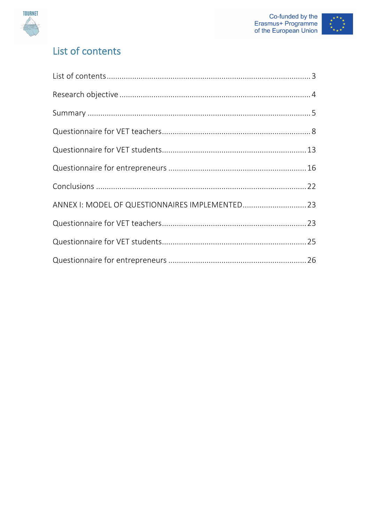



# List of contents

| ANNEX I: MODEL OF QUESTIONNAIRES IMPLEMENTED 23 |  |
|-------------------------------------------------|--|
|                                                 |  |
|                                                 |  |
|                                                 |  |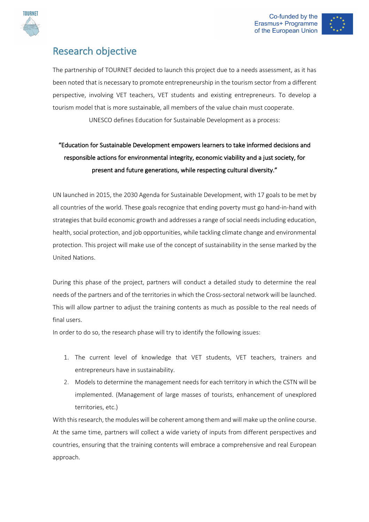





# Research objective

The partnership of TOURNET decided to launch this project due to a needs assessment, as it has been noted that is necessary to promote entrepreneurship in the tourism sector from a different perspective, involving VET teachers, VET students and existing entrepreneurs. To develop a tourism model that is more sustainable, all members of the value chain must cooperate. UNESCO defines Education for Sustainable Development as a process:

# "Education for Sustainable Development empowers learners to take informed decisions and responsible actions for environmental integrity, economic viability and a just society, for present and future generations, while respecting cultural diversity."

UN launched in 2015, the 2030 Agenda for Sustainable Development, with 17 goals to be met by all countries of the world. These goals recognize that ending poverty must go hand-in-hand with strategies that build economic growth and addresses a range of social needs including education, health, social protection, and job opportunities, while tackling climate change and environmental protection. This project will make use of the concept of sustainability in the sense marked by the United Nations.

During this phase of the project, partners will conduct a detailed study to determine the real needs of the partners and of the territories in which the Cross-sectoral network will be launched. This will allow partner to adjust the training contents as much as possible to the real needs of final users.

In order to do so, the research phase will try to identify the following issues:

- 1. The current level of knowledge that VET students, VET teachers, trainers and entrepreneurs have in sustainability.
- 2. Models to determine the management needs for each territory in which the CSTN will be implemented. (Management of large masses of tourists, enhancement of unexplored territories, etc.)

With this research, the modules will be coherent among them and will make up the online course. At the same time, partners will collect a wide variety of inputs from different perspectives and countries, ensuring that the training contents will embrace a comprehensive and real European approach.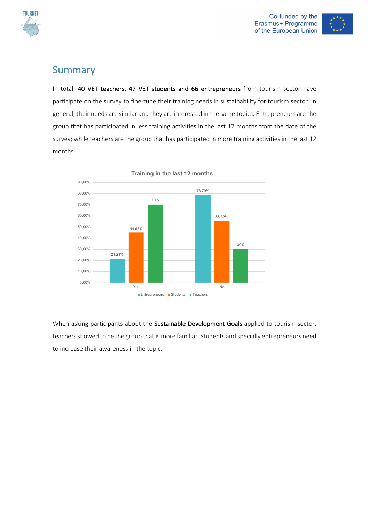



### Summary

In total, 40 VET teachers, 47 VET students and 66 entrepreneurs from tourism sector have participate on the survey to fine-tune their training needs in sustainability for tourism sector. In general; their needs are similar and they are interested in the same topics. Entrepreneurs are the group that has participated in less training activities in the last 12 months from the date of the survey; while teachers are the group that has participated in more training activities in the last 12 months.



**Training in the last 12 months**

When asking participants about the Sustainable Development Goals applied to tourism sector, teachers showed to be the group that is more familiar. Students and specially entrepreneurs need to increase their awareness in the topic.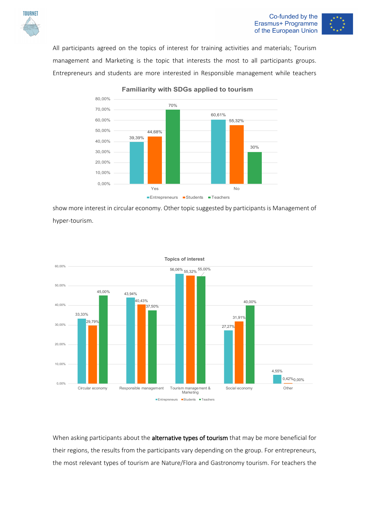



All participants agreed on the topics of interest for training activities and materials; Tourism management and Marketing is the topic that interests the most to all participants groups. Entrepreneurs and students are more interested in Responsible management while teachers



**Familiarity with SDGs applied to tourism**

show more interest in circular economy. Other topic suggested by participants is Management of hyper-tourism.



When asking participants about the alternative types of tourism that may be more beneficial for their regions, the results from the participants vary depending on the group. For entrepreneurs, the most relevant types of tourism are Nature/Flora and Gastronomy tourism. For teachers the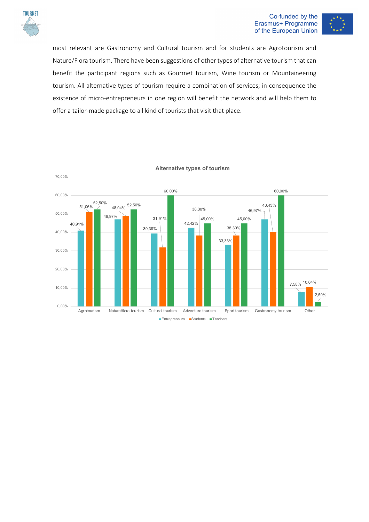

#### Co-funded by the Erasmus+ Programme of the European Union



most relevant are Gastronomy and Cultural tourism and for students are Agrotourism and Nature/Flora tourism. There have been suggestions of other types of alternative tourism that can benefit the participant regions such as Gourmet tourism, Wine tourism or Mountaineering tourism. All alternative types of tourism require a combination of services; in consequence the existence of micro-entrepreneurs in one region will benefit the network and will help them to offer a tailor-made package to all kind of tourists that visit that place.



**Alternative types of tourism**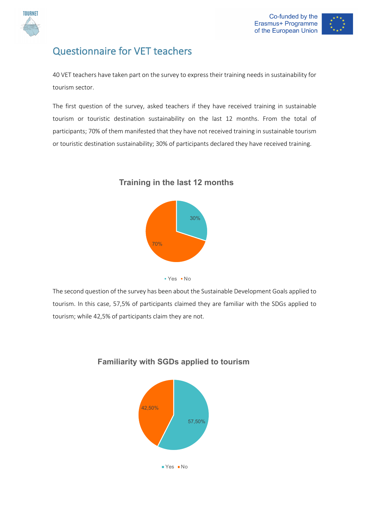

# Questionnaire for VET teachers

40 VET teachers have taken part on the survey to express their training needs in sustainability for tourism sector.

The first question of the survey, asked teachers if they have received training in sustainable tourism or touristic destination sustainability on the last 12 months. From the total of participants; 70% of them manifested that they have not received training in sustainable tourism or touristic destination sustainability; 30% of participants declared they have received training.



### **Training in the last 12 months**

The second question of the survey has been about the Sustainable Development Goals applied to tourism. In this case, 57,5% of participants claimed they are familiar with the SDGs applied to tourism; while 42,5% of participants claim they are not.



### **Familiarity with SGDs applied to tourism**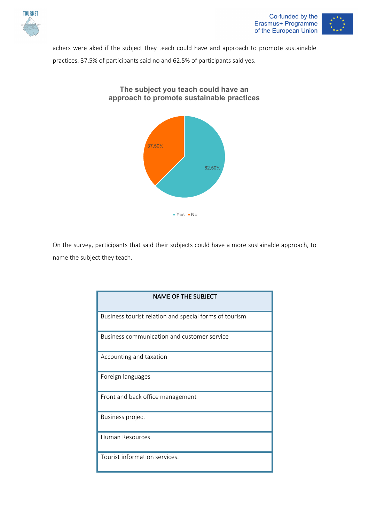



achers were aked if the subject they teach could have and approach to promote sustainable practices. 37.5% of participants said no and 62.5% of participants said yes.



On the survey, participants that said their subjects could have a more sustainable approach, to name the subject they teach.

| <b>NAME OF THE SUBJECT</b>                             |
|--------------------------------------------------------|
| Business tourist relation and special forms of tourism |
| Business communication and customer service            |
| Accounting and taxation                                |
| Foreign languages                                      |
| Front and back office management                       |
| <b>Business project</b>                                |
| <b>Human Resources</b>                                 |
| Tourist information services.                          |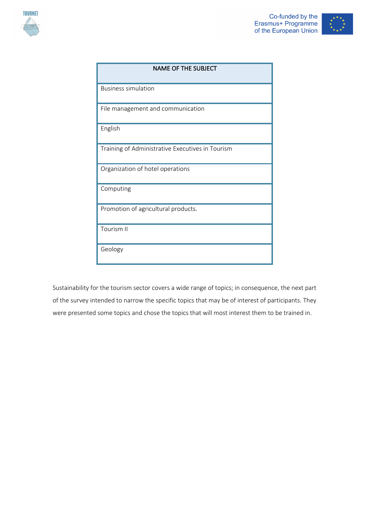



| <b>NAME OF THE SUBJECT</b>                       |
|--------------------------------------------------|
|                                                  |
| <b>Business simulation</b>                       |
|                                                  |
| File management and communication                |
|                                                  |
| English                                          |
|                                                  |
| Training of Administrative Executives in Tourism |
|                                                  |
| Organization of hotel operations                 |
|                                                  |
| Computing                                        |
|                                                  |
| Promotion of agricultural products.              |
|                                                  |
| Tourism II                                       |
|                                                  |
| Geology                                          |
|                                                  |

Sustainability for the tourism sector covers a wide range of topics; in consequence, the next part of the survey intended to narrow the specific topics that may be of interest of participants. They were presented some topics and chose the topics that will most interest them to be trained in.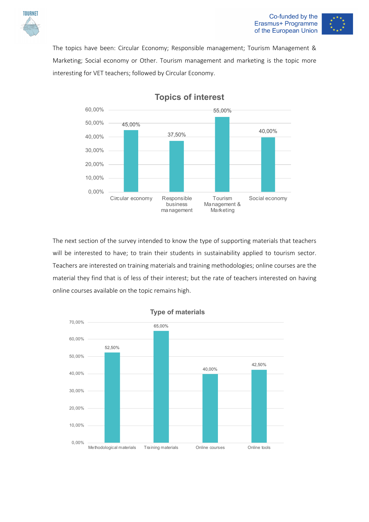

#### Co-funded by the Erasmus+ Programme of the European Union



The topics have been: Circular Economy; Responsible management; Tourism Management & Marketing; Social economy or Other. Tourism management and marketing is the topic more interesting for VET teachers; followed by Circular Economy.



**Topics of interest**

The next section of the survey intended to know the type of supporting materials that teachers will be interested to have; to train their students in sustainability applied to tourism sector. Teachers are interested on training materials and training methodologies; online courses are the material they find that is of less of their interest; but the rate of teachers interested on having online courses available on the topic remains high.

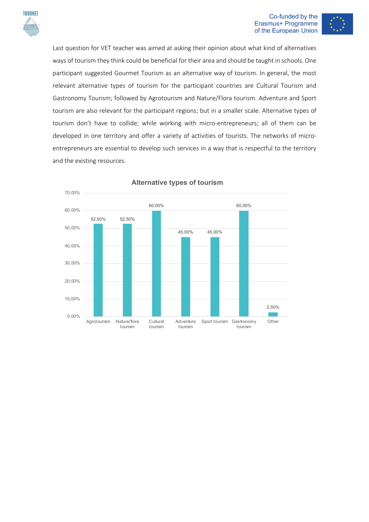

#### Co-funded by the Erasmus+ Programme of the European Union



Last question for VET teacher was aimed at asking their opinion about what kind of alternatives ways of tourism they think could be beneficial for their area and should be taught in schools. One participant suggested Gourmet Tourism as an alternative way of tourism. In general, the most relevant alternative types of tourism for the participant countries are Cultural Tourism and Gastronomy Tourism; followed by Agrotourism and Nature/Flora tourism. Adventure and Sport tourism are also relevant for the participant regions; but in a smaller scale. Alternative types of tourism don't have to collide; while working with micro-entrepreneurs; all of them can be developed in one territory and offer a variety of activities of tourists. The networks of microentrepreneurs are essential to develop such services in a way that is respectful to the territory and the existing resources.



#### **Alternative types of tourism**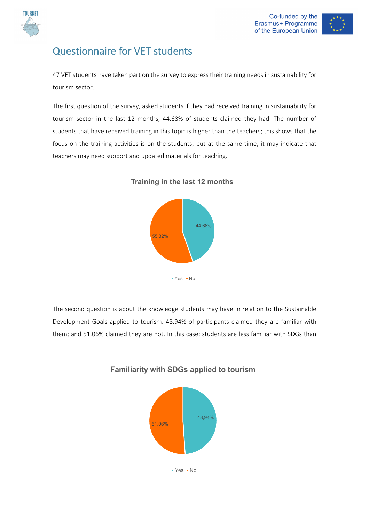

# Questionnaire for VET students

47 VET students have taken part on the survey to express their training needs in sustainability for tourism sector.

The first question of the survey, asked students if they had received training in sustainability for tourism sector in the last 12 months; 44,68% of students claimed they had. The number of students that have received training in this topic is higher than the teachers; this shows that the focus on the training activities is on the students; but at the same time, it may indicate that teachers may need support and updated materials for teaching.



### **Training in the last 12 months**

The second question is about the knowledge students may have in relation to the Sustainable Development Goals applied to tourism. 48.94% of participants claimed they are familiar with them; and 51.06% claimed they are not. In this case; students are less familiar with SDGs than



### **Familiarity with SDGs applied to tourism**

 $Yes - No$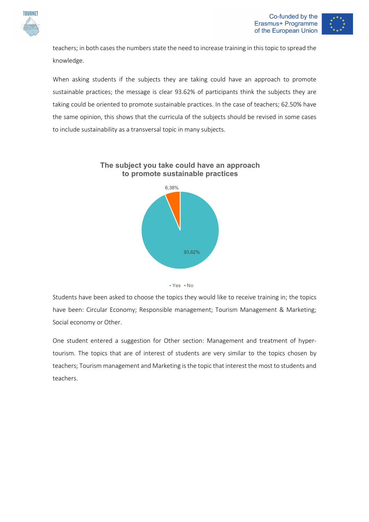



teachers; in both cases the numbers state the need to increase training in this topic to spread the knowledge.

When asking students if the subjects they are taking could have an approach to promote sustainable practices; the message is clear 93.62% of participants think the subjects they are taking could be oriented to promote sustainable practices. In the case of teachers; 62.50% have the same opinion, this shows that the curricula of the subjects should be revised in some cases to include sustainability as a transversal topic in many subjects.





Students have been asked to choose the topics they would like to receive training in; the topics have been: Circular Economy; Responsible management; Tourism Management & Marketing; Social economy or Other.

One student entered a suggestion for Other section: Management and treatment of hypertourism. The topics that are of interest of students are very similar to the topics chosen by teachers; Tourism management and Marketing is the topic that interest the most to students and teachers.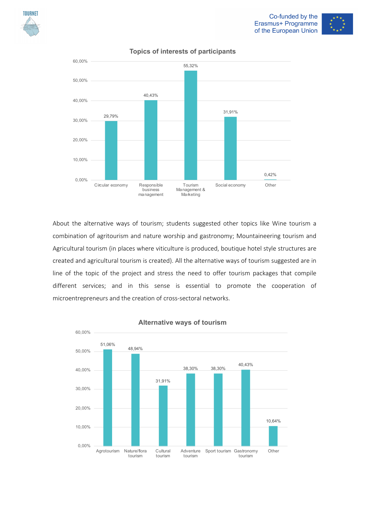





### **Topics of interests of participants**

About the alternative ways of tourism; students suggested other topics like Wine tourism a combination of agritourism and nature worship and gastronomy; Mountaineering tourism and Agricultural tourism (in places where viticulture is produced, boutique hotel style structures are created and agricultural tourism is created). All the alternative ways of tourism suggested are in line of the topic of the project and stress the need to offer tourism packages that compile different services; and in this sense is essential to promote the cooperation of microentrepreneurs and the creation of cross-sectoral networks.



#### **Alternative ways of tourism**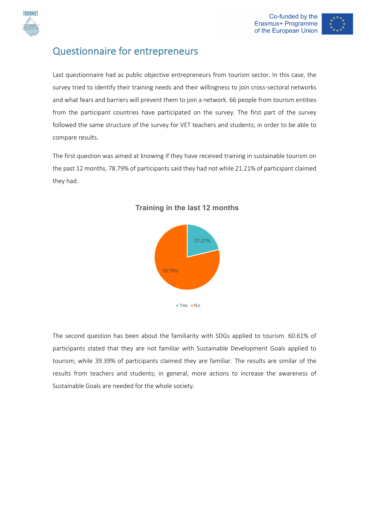



# Questionnaire for entrepreneurs

Last questionnaire had as public objective entrepreneurs from tourism sector. In this case, the survey tried to identify their training needs and their willingness to join cross-sectoral networks and what fears and barriers will prevent them to join a network. 66 people from tourism entities from the participant countries have participated on the survey. The first part of the survey followed the same structure of the survey for VET teachers and students; in order to be able to compare results.

The first question was aimed at knowing if they have received training in sustainable tourism on the past 12 months, 78.79% of participants said they had not while 21.21% of participant claimed they had.



### **Training in the last 12 months**

The second question has been about the familiarity with SDGs applied to tourism. 60.61% of participants stated that they are not familiar with Sustainable Development Goals applied to tourism; while 39.39% of participants claimed they are familiar. The results are similar of the results from teachers and students; in general, more actions to increase the awareness of Sustainable Goals are needed for the whole society.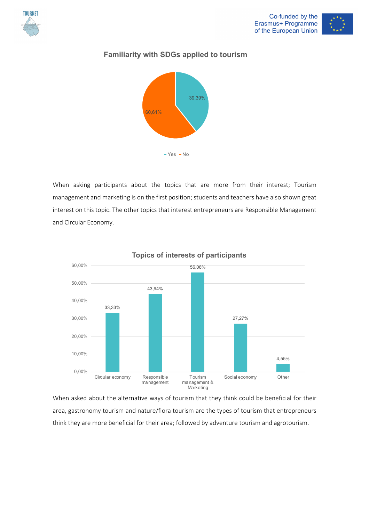



### **Familiarity with SDGs applied to tourism**



When asking participants about the topics that are more from their interest; Tourism management and marketing is on the first position; students and teachers have also shown great interest on this topic. The other topics that interest entrepreneurs are Responsible Management and Circular Economy.



### **Topics of interests of participants**

When asked about the alternative ways of tourism that they think could be beneficial for their area, gastronomy tourism and nature/flora tourism are the types of tourism that entrepreneurs think they are more beneficial for their area; followed by adventure tourism and agrotourism.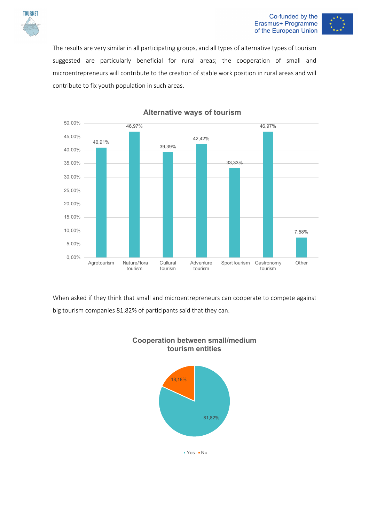

#### Co-funded by the Erasmus+ Programme of the European Union



The results are very similar in all participating groups, and all types of alternative types of tourism suggested are particularly beneficial for rural areas; the cooperation of small and microentrepreneurs will contribute to the creation of stable work position in rural areas and will contribute to fix youth population in such areas.



### **Alternative ways of tourism**

When asked if they think that small and microentrepreneurs can cooperate to compete against big tourism companies 81.82% of participants said that they can.



### **Cooperation between small/medium tourism entities**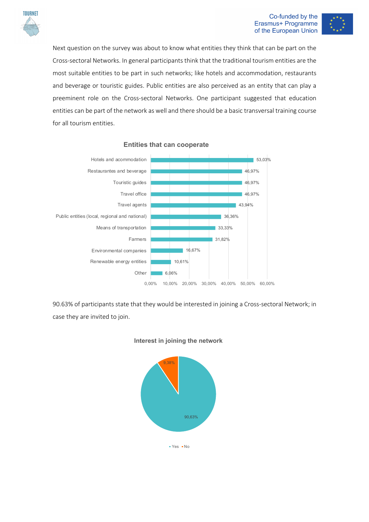

#### Co-funded by the Erasmus+ Programme of the European Union



Next question on the survey was about to know what entities they think that can be part on the Cross-sectoral Networks. In general participants think that the traditional tourism entities are the most suitable entities to be part in such networks; like hotels and accommodation, restaurants and beverage or touristic guides. Public entities are also perceived as an entity that can play a preeminent role on the Cross-sectoral Networks. One participant suggested that education entities can be part of the network as well and there should be a basic transversal training course for all tourism entities.



#### **Entities that can cooperate**

90.63% of participants state that they would be interested in joining a Cross-sectoral Network; in case they are invited to join.



#### **Interest in joining the network**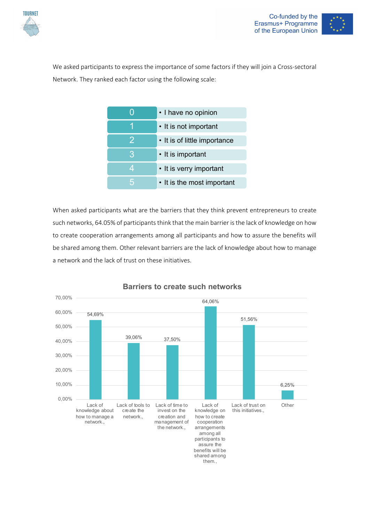



We asked participants to express the importance of some factors if they will join a Cross-sectoral Network. They ranked each factor using the following scale:



When asked participants what are the barriers that they think prevent entrepreneurs to create such networks, 64.05% of participants think that the main barrier is the lack of knowledge on how to create cooperation arrangements among all participants and how to assure the benefits will be shared among them. Other relevant barriers are the lack of knowledge about how to manage a network and the lack of trust on these initiatives.



### **Barriers to create such networks**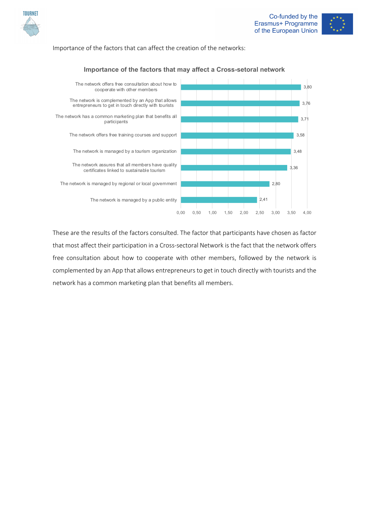

#### Importance of the factors that can affect the creation of the networks:



### **Importance of the factors that may affect a Cross-setoral network**

These are the results of the factors consulted. The factor that participants have chosen as factor that most affect their participation in a Cross-sectoral Network is the fact that the network offers free consultation about how to cooperate with other members, followed by the network is complemented by an App that allows entrepreneurs to get in touch directly with tourists and the network has a common marketing plan that benefits all members.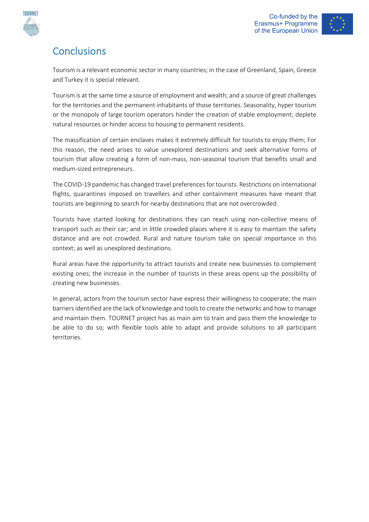



# **Conclusions**

Tourism is a relevant economic sector in many countries; in the case of Greenland, Spain, Greece and Turkey it is special relevant.

Tourism is at the same time a source of employment and wealth; and a source of great challenges for the territories and the permanent inhabitants of those territories. Seasonality, hyper tourism or the monopoly of large tourism operators hinder the creation of stable employment; deplete natural resources or hinder access to housing to permanent residents.

The massification of certain enclaves makes it extremely difficult for tourists to enjoy them; For this reason, the need arises to value unexplored destinations and seek alternative forms of tourism that allow creating a form of non-mass, non-seasonal tourism that benefits small and medium-sized entrepreneurs.

The COVID-19 pandemic has changed travel preferences for tourists. Restrictions on international flights, quarantines imposed on travellers and other containment measures have meant that tourists are beginning to search for nearby destinations that are not overcrowded.

Tourists have started looking for destinations they can reach using non-collective means of transport such as their car; and in little crowded places where it is easy to maintain the safety distance and are not crowded. Rural and nature tourism take on special importance in this context; as well as unexplored destinations.

Rural areas have the opportunity to attract tourists and create new businesses to complement existing ones; the increase in the number of tourists in these areas opens up the possibility of creating new businesses.

In general, actors from the tourism sector have express their willingness to cooperate; the main barriers identified are the lack of knowledge and tools to create the networks and how to manage and maintain them. TOURNET project has as main aim to train and pass them the knowledge to be able to do so; with flexible tools able to adapt and provide solutions to all participant territories.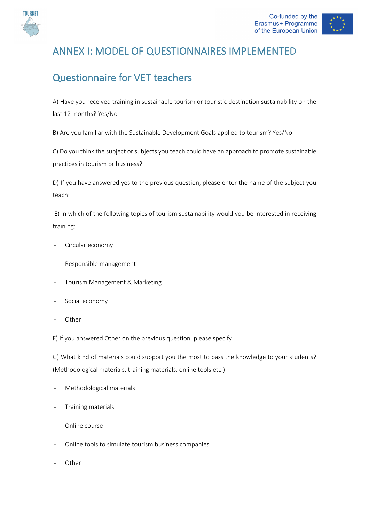

# ANNEX I: MODEL OF QUESTIONNAIRES IMPLEMENTED

# Questionnaire for VET teachers

A) Have you received training in sustainable tourism or touristic destination sustainability on the last 12 months? Yes/No

B) Are you familiar with the Sustainable Development Goals applied to tourism? Yes/No

C) Do you think the subject or subjects you teach could have an approach to promote sustainable practices in tourism or business?

D) If you have answered yes to the previous question, please enter the name of the subject you teach:

E) In which of the following topics of tourism sustainability would you be interested in receiving training:

- Circular economy
- Responsible management
- Tourism Management & Marketing
- Social economy
- **Other**

F) If you answered Other on the previous question, please specify.

G) What kind of materials could support you the most to pass the knowledge to your students? (Methodological materials, training materials, online tools etc.)

- Methodological materials
- Training materials
- Online course
- Online tools to simulate tourism business companies
- **Other**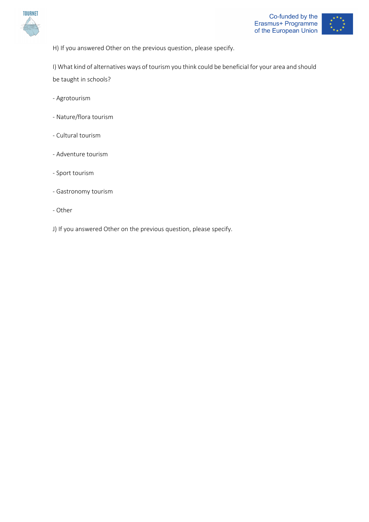



H) If you answered Other on the previous question, please specify.

I) What kind of alternatives ways of tourism you think could be beneficial for your area and should be taught in schools?

- Agrotourism
- Nature/flora tourism
- Cultural tourism
- Adventure tourism
- Sport tourism
- Gastronomy tourism
- Other
- J) If you answered Other on the previous question, please specify.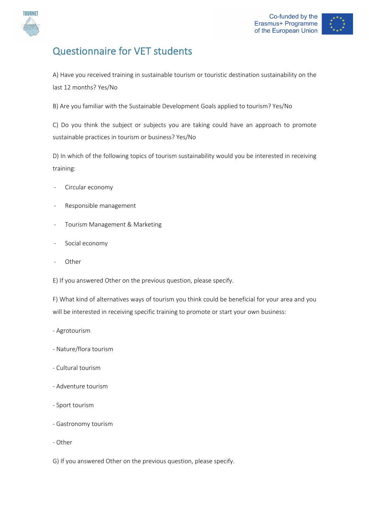

# Questionnaire for VET students

A) Have you received training in sustainable tourism or touristic destination sustainability on the last 12 months? Yes/No

B) Are you familiar with the Sustainable Development Goals applied to tourism? Yes/No

C) Do you think the subject or subjects you are taking could have an approach to promote sustainable practices in tourism or business? Yes/No

D) In which of the following topics of tourism sustainability would you be interested in receiving training:

- Circular economy
- Responsible management
- Tourism Management & Marketing
- Social economy
- **Other**

E) If you answered Other on the previous question, please specify.

F) What kind of alternatives ways of tourism you think could be beneficial for your area and you will be interested in receiving specific training to promote or start your own business:

- Agrotourism
- Nature/flora tourism
- Cultural tourism
- Adventure tourism
- Sport tourism
- Gastronomy tourism
- Other

G) If you answered Other on the previous question, please specify.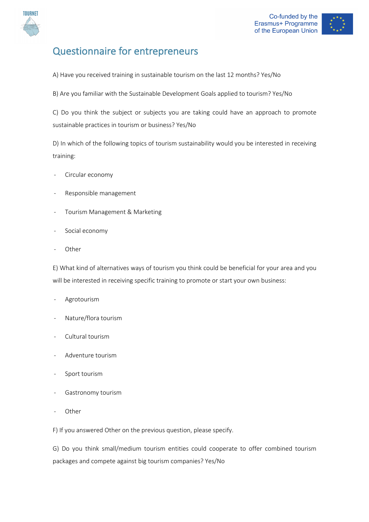

# Questionnaire for entrepreneurs

- A) Have you received training in sustainable tourism on the last 12 months? Yes/No
- B) Are you familiar with the Sustainable Development Goals applied to tourism? Yes/No

C) Do you think the subject or subjects you are taking could have an approach to promote sustainable practices in tourism or business? Yes/No

D) In which of the following topics of tourism sustainability would you be interested in receiving training:

- Circular economy
- Responsible management
- Tourism Management & Marketing
- Social economy
- Other

E) What kind of alternatives ways of tourism you think could be beneficial for your area and you will be interested in receiving specific training to promote or start your own business:

- Agrotourism
- Nature/flora tourism
- Cultural tourism
- Adventure tourism
- Sport tourism
- Gastronomy tourism
- Other

F) If you answered Other on the previous question, please specify.

G) Do you think small/medium tourism entities could cooperate to offer combined tourism packages and compete against big tourism companies? Yes/No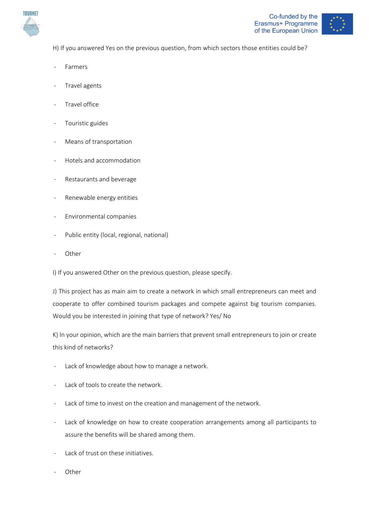



H) If you answered Yes on the previous question, from which sectors those entities could be?

- **Farmers**
- Travel agents
- Travel office
- Touristic guides
- Means of transportation
- Hotels and accommodation
- Restaurants and beverage
- Renewable energy entities
- Environmental companies
- Public entity (local, regional, national)
- **Other**

I) If you answered Other on the previous question, please specify.

J) This project has as main aim to create a network in which small entrepreneurs can meet and cooperate to offer combined tourism packages and compete against big tourism companies. Would you be interested in joining that type of network? Yes/ No

K) In your opinion, which are the main barriers that prevent small entrepreneurs to join or create this kind of networks?

- Lack of knowledge about how to manage a network.
- Lack of tools to create the network.
- Lack of time to invest on the creation and management of the network.
- Lack of knowledge on how to create cooperation arrangements among all participants to assure the benefits will be shared among them.
- Lack of trust on these initiatives.
- **Other**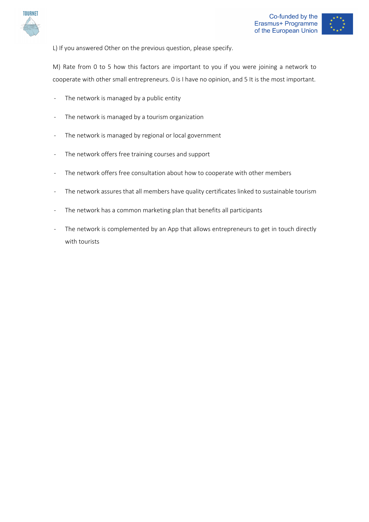





M) Rate from 0 to 5 how this factors are important to you if you were joining a network to cooperate with other small entrepreneurs. 0 is I have no opinion, and 5 It is the most important.

- The network is managed by a public entity
- The network is managed by a tourism organization
- The network is managed by regional or local government
- The network offers free training courses and support
- The network offers free consultation about how to cooperate with other members
- The network assures that all members have quality certificates linked to sustainable tourism
- The network has a common marketing plan that benefits all participants
- The network is complemented by an App that allows entrepreneurs to get in touch directly with tourists